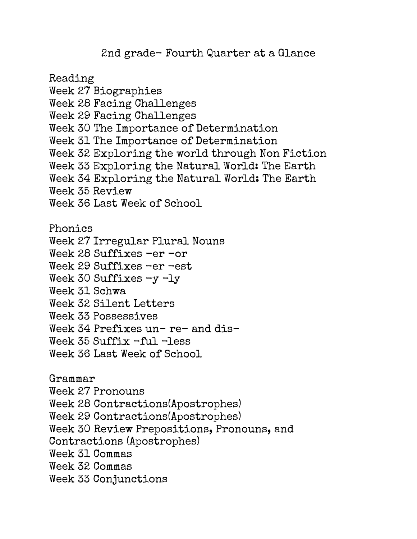2nd grade- Fourth Quarter at a Glance

Reading Week 27 Biographies Week 28 Facing Challenges Week 29 Facing Challenges Week 30 The Importance of Determination Week 31 The Importance of Determination Week 32 Exploring the world through Non Fiction Week 33 Exploring the Natural World: The Earth Week 34 Exploring the Natural World: The Earth Week 35 Review Week 36 Last Week of School Phonics Week 27 Irregular Plural Nouns Week 28 Suffixes -er -or Week 29 Suffixes -er -est Week 30 Suffixes -y -ly Week 31 Schwa Week 32 Silent Letters Week 33 Possessives

Week 34 Prefixes un- re- and dis-

Week  $35$  Suffix  $-ful$   $-$  less

Week 36 Last Week of School

Grammar Week 27 Pronouns Week 28 Contractions(Apostrophes) Week 29 Contractions(Apostrophes) Week 30 Review Prepositions, Pronouns, and Contractions (Apostrophes) Week 31 Commas Week 32 Commas Week 33 Conjunctions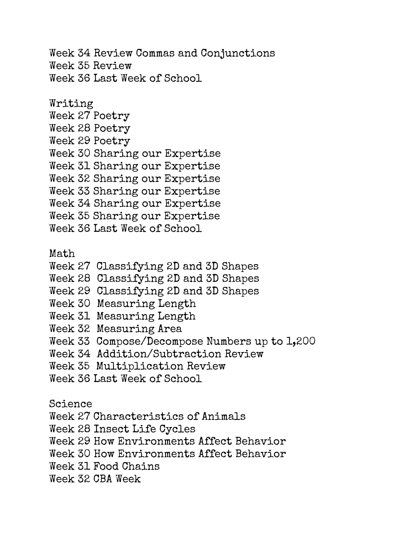Week 34 Review Commas and Conjunctions Week 35 Review Week 36 Last Week of School

Writing Week 27 Poetry Week 28 Poetry Week 29 Poetry Week 30 Sharing our Expertise Week 31 Sharing our Expertise Week 32 Sharing our Expertise Week 33 Sharing our Expertise Week 34 Sharing our Expertise Week 35 Sharing our Expertise Week 36 Last Week of School

Math

- Week 27 Classifying 2D and 3D Shapes
- Week 28 Classifying 2D and 3D Shapes
- Week 29 Classifying 2D and 3D Shapes
- Week 30 Measuring Length
- Week 31 Measuring Length
- Week 32 Measuring Area
- Week 33 Compose/Decompose Numbers up to 1,200
- Week 34 Addition/Subtraction Review
- Week 35 Multiplication Review
- Week 36 Last Week of School

Science

- Week 27 Characteristics of Animals
- Week 28 Insect Life Cycles

Week 29 How Environments Affect Behavior

- Week 30 How Environments Affect Behavior
- Week 31 Food Chains
- Week 32 CBA Week